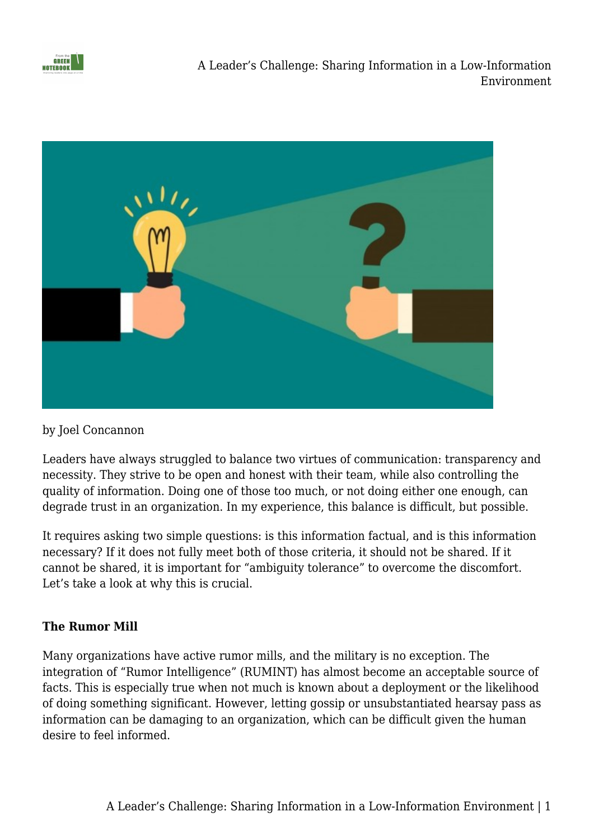

A Leader's Challenge: Sharing Information in a Low-Information Environment



#### by Joel Concannon

Leaders have always struggled to balance two virtues of communication: transparency and necessity. They strive to be open and honest with their team, while also controlling the quality of information. Doing one of those too much, or not doing either one enough, can degrade trust in an organization. In my experience, this balance is difficult, but possible.

It requires asking two simple questions: is this information factual, and is this information necessary? If it does not fully meet both of those criteria, it should not be shared. If it cannot be shared, it is important for "ambiguity tolerance" to overcome the discomfort. Let's take a look at why this is crucial.

### **The Rumor Mill**

Many organizations have active rumor mills, and the military is no exception. The integration of "Rumor Intelligence" (RUMINT) has almost become an acceptable source of facts. This is especially true when not much is known about a deployment or the likelihood of doing something significant. However, letting gossip or unsubstantiated hearsay pass as information can be damaging to an organization, which can be difficult given the human desire to feel informed.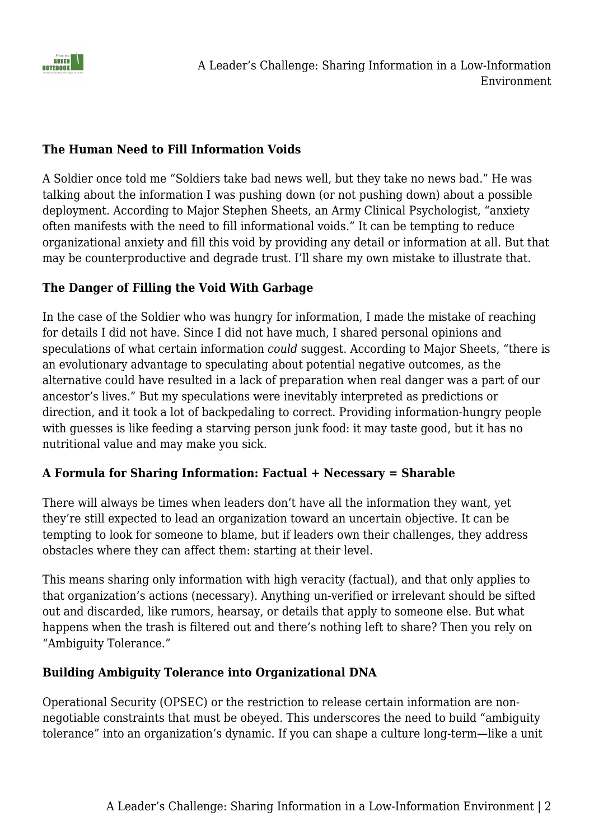

### **The Human Need to Fill Information Voids**

A Soldier once told me "Soldiers take bad news well, but they take no news bad." He was talking about the information I was pushing down (or not pushing down) about a possible deployment. According to Major Stephen Sheets, an Army Clinical Psychologist, "anxiety often manifests with the need to fill informational voids." It can be tempting to reduce organizational anxiety and fill this void by providing any detail or information at all. But that may be counterproductive and degrade trust. I'll share my own mistake to illustrate that.

### **The Danger of Filling the Void With Garbage**

In the case of the Soldier who was hungry for information, I made the mistake of reaching for details I did not have. Since I did not have much, I shared personal opinions and speculations of what certain information *could* suggest. According to Major Sheets, "there is an evolutionary advantage to speculating about potential negative outcomes, as the alternative could have resulted in a lack of preparation when real danger was a part of our ancestor's lives." But my speculations were inevitably interpreted as predictions or direction, and it took a lot of backpedaling to correct. Providing information-hungry people with guesses is like feeding a starving person junk food: it may taste good, but it has no nutritional value and may make you sick.

### **A Formula for Sharing Information: Factual + Necessary = Sharable**

There will always be times when leaders don't have all the information they want, yet they're still expected to lead an organization toward an uncertain objective. It can be tempting to look for someone to blame, but if leaders own their challenges, they address obstacles where they can affect them: starting at their level.

This means sharing only information with high veracity (factual), and that only applies to that organization's actions (necessary). Anything un-verified or irrelevant should be sifted out and discarded, like rumors, hearsay, or details that apply to someone else. But what happens when the trash is filtered out and there's nothing left to share? Then you rely on "Ambiguity Tolerance."

### **Building Ambiguity Tolerance into Organizational DNA**

Operational Security (OPSEC) or the restriction to release certain information are nonnegotiable constraints that must be obeyed. This underscores the need to build "ambiguity tolerance" into an organization's dynamic. If you can shape a culture long-term—like a unit